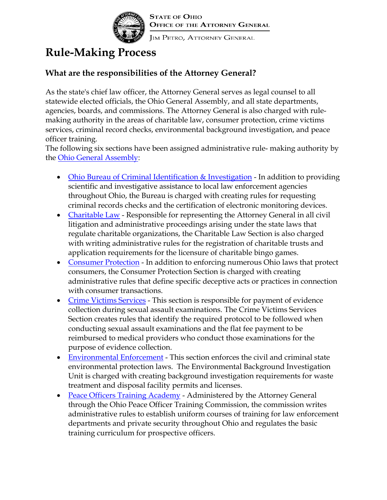

## **Rule-Making Process**

## **What are the responsibilities of the Attorney General?**

As the state's chief law officer, the Attorney General serves as legal counsel to all statewide elected officials, the Ohio General Assembly, and all state departments, agencies, boards, and commissions. The Attorney General is also charged with rulemaking authority in the areas of charitable law, consumer protection, crime victims services, criminal record checks, environmental background investigation, and peace officer training.

The following six sections have been assigned administrative rule- making authority by the [Ohio General Assembly:](http://www.legislature.state.oh.us/)

- [Ohio Bureau of Criminal Identification & Investigation](http://www.ag.state.oh.us/sections/bci/index.htm)  In addition to providing scientific and investigative assistance to local law enforcement agencies throughout Ohio, the Bureau is charged with creating rules for requesting criminal records checks and the certification of electronic monitoring devices.
- [Charitable Law -](http://www.ag.state.oh.us/sections/charitable_law/index.htm) Responsible for representing the Attorney General in all civil litigation and administrative proceedings arising under the state laws that regulate charitable organizations, the Charitable Law Section is also charged with writing administrative rules for the registration of charitable trusts and application requirements for the licensure of charitable bingo games.
- [Consumer Protection -](http://www.ag.state.oh.us/sections/consumer_protection/index.htm) In addition to enforcing numerous Ohio laws that protect consumers, the Consumer Protection Section is charged with creating administrative rules that define specific deceptive acts or practices in connection with consumer transactions.
- [Crime Victims Services -](http://www.ag.state.oh.us/sections/crime_victims_services/index.htm) This section is responsible for payment of evidence collection during sexual assault examinations. The Crime Victims Services Section creates rules that identify the required protocol to be followed when conducting sexual assault examinations and the flat fee payment to be reimbursed to medical providers who conduct those examinations for the purpose of evidence collection.
- [Environmental Enforcement](http://www.ag.state.oh.us/sections/environmental_enforcement/index.htm)  This section enforces the civil and criminal state environmental protection laws. The Environmental Background Investigation Unit is charged with creating background investigation requirements for waste treatment and disposal facility permits and licenses.
- [Peace Officers Training Academy -](http://www.ag.state.oh.us/sections/pota/index.htm) Administered by the Attorney General through the Ohio Peace Officer Training Commission, the commission writes administrative rules to establish uniform courses of training for law enforcement departments and private security throughout Ohio and regulates the basic training curriculum for prospective officers.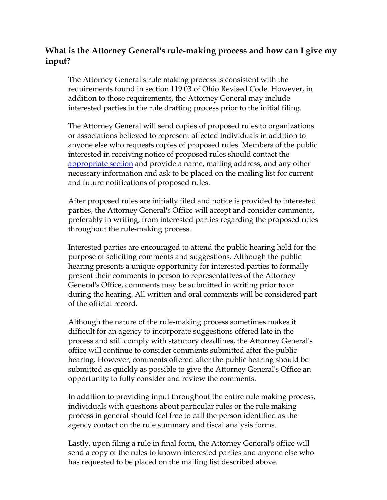## **What is the Attorney General's rule-making process and how can I give my input?**

The Attorney General's rule making process is consistent with the requirements found in section 119.03 of Ohio Revised Code. However, in addition to those requirements, the Attorney General may include interested parties in the rule drafting process prior to the initial filing.

The Attorney General will send copies of proposed rules to organizations or associations believed to represent affected individuals in addition to anyone else who requests copies of proposed rules. Members of the public interested in receiving notice of proposed rules should contact the [appropriate section a](http://www.ag.state.oh.us/about_office/How%20can%20I%20contact%20the%20sections%20of%20the%20At)nd provide a name, mailing address, and any other necessary information and ask to be placed on the mailing list for current and future notifications of proposed rules.

After proposed rules are initially filed and notice is provided to interested parties, the Attorney General's Office will accept and consider comments, preferably in writing, from interested parties regarding the proposed rules throughout the rule-making process.

Interested parties are encouraged to attend the public hearing held for the purpose of soliciting comments and suggestions. Although the public hearing presents a unique opportunity for interested parties to formally present their comments in person to representatives of the Attorney General's Office, comments may be submitted in writing prior to or during the hearing. All written and oral comments will be considered part of the official record.

Although the nature of the rule-making process sometimes makes it difficult for an agency to incorporate suggestions offered late in the process and still comply with statutory deadlines, the Attorney General's office will continue to consider comments submitted after the public hearing. However, comments offered after the public hearing should be submitted as quickly as possible to give the Attorney General's Office an opportunity to fully consider and review the comments.

In addition to providing input throughout the entire rule making process, individuals with questions about particular rules or the rule making process in general should feel free to call the person identified as the agency contact on the rule summary and fiscal analysis forms.

Lastly, upon filing a rule in final form, the Attorney General's office will send a copy of the rules to known interested parties and anyone else who has requested to be placed on the mailing list described above.